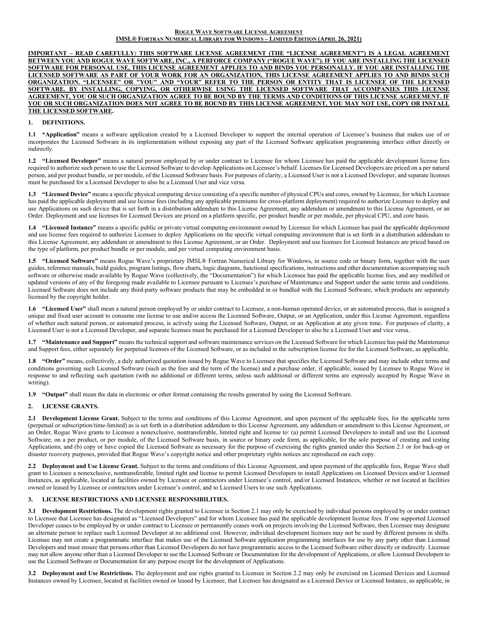#### **ROGUE WAVE SOFTWARE LICENSE AGREEMENT IMSL® FORTRAN NUMERICAL LIBRARY FOR WINDOWS – LIMITED EDITION (APRIL 26, 2021)**

**IMPORTANT – READ CAREFULLY: THIS SOFTWARE LICENSE AGREEMENT (THE "LICENSE AGREEMENT") IS A LEGAL AGREEMENT BETWEEN YOU AND ROGUE WAVE SOFTWARE, INC., A PERFORCE COMPANY ("ROGUE WAVE"). IF YOU ARE INSTALLING THE LICENSED SOFTWARE FOR PERSONAL USE, THIS LICENSE AGREEMENT APPLIES TO AND BINDS YOU PERSONALLY. IF YOU ARE INSTALLING THE LICENSED SOFTWARE AS PART OF YOUR WORK FOR AN ORGANIZATION, THIS LICENSE AGREEMENT APPLIES TO AND BINDS SUCH ORGANIZATION. "LICENSEE" OR "YOU" AND "YOUR" REFER TO THE PERSON OR ENTITY THAT IS LICENSEE OF THE LICENSED SOFTWARE. BY INSTALLING, COPYING, OR OTHERWISE USING THE LICENSED SOFTWARE THAT ACCOMPANIES THIS LICENSE AGREEMENT, YOU OR SUCH ORGANIZATION AGREE TO BE BOUND BY THE TERMS AND CONDITIONS OF THIS LICENSE AGREEMENT. IF YOU OR SUCH ORGANIZATION DOES NOT AGREE TO BE BOUND BY THIS LICENSE AGREEMENT, YOU MAY NOT USE, COPY OR INSTALL THE LICENSED SOFTWARE.**

### **1. DEFINITIONS.**

**1.1 "Application"** means a software application created by a Licensed Developer to support the internal operation of Licensee's business that makes use of or incorporates the Licensed Software in its implementation without exposing any part of the Licensed Software application programming interface either directly or indirectly.

**1.2 "Licensed Developer"** means a natural person employed by or under contract to Licensee for whom Licensee has paid the applicable development license fees required to authorize such person to use the Licensed Software to develop Applications on Licensee's behalf. Licenses for Licensed Developers are priced on a per natural person, and per product bundle, or per module, of the Licensed Software basis. For purposes of clarity, a Licensed User is not a Licensed Developer, and separate licenses must be purchased for a Licensed Developer to also be a Licensed User and vice versa.

**1.3 "Licensed Device"** means a specific physical computing device consisting of a specific number of physical CPUs and cores, owned by Licensee, for which Licensee has paid the applicable deployment and use license fees (including any applicable premiums for cross-platform deployment) required to authorize Licensee to deploy and use Applications on such device that is set forth in a distribution addendum to this License Agreement, any addendum or amendment to this License Agreement, or an Order. Deployment and use licenses for Licensed Devices are priced on a platform specific, per product bundle or per module, per physical CPU, and core basis.

**1.4 "Licensed Instance"** means a specific public or private virtual computing environment owned by Licensee for which Licensee has paid the applicable deployment and use license fees required to authorize Licensee to deploy Applications on the specific virtual computing environment that is set forth in a distribution addendum to this License Agreement, any addendum or amendment to this License Agreement, or an Order. Deployment and use licenses for Licensed Instances are priced based on the type of platform, per product bundle or per module, and per virtual computing environment basis.

**1.5 "Licensed Software"** means Rogue Wave's proprietary IMSL® Fortran Numerical Library for Windows, in source code or binary form, together with the user guides, reference manuals, build guides, program listings, flow charts, logic diagrams, functional specifications, instructions and other documentation accompanying such software or otherwise made available by Rogue Wave (collectively, the "Documentation") for which Licensee has paid the applicable license fees, and any modified or updated versions of any of the foregoing made available to Licensee pursuant to Licensee's purchase of Maintenance and Support under the same terms and conditions. Licensed Software does not include any third-party software products that may be embedded in or bundled with the Licensed Software, which products are separately licensed by the copyright holder.

**1.6 "Licensed User"** shall mean a natural person employed by or under contract to Licensee, a non-human operated device, or an automated process, that is assigned a unique and fixed user account to consume one license to use and/or access the Licensed Software, Output, or an Application, under this License Agreement, regardless of whether such natural person, or automated process, is actively using the Licensed Software, Output, or an Application at any given time**.** For purposes of clarity, a Licensed User is not a Licensed Developer, and separate licenses must be purchased for a Licensed Developer to also be a Licensed User and vice versa..

**1.7 "Maintenance and Support"** means the technical support and software maintenance services on the Licensed Software for which Licensee has paid the Maintenance and Support fees, either separately for perpetual licenses of the Licensed Software, or as included in the subscription license fee for the Licensed Software, as applicable.

**1.8 "Order"** means, collectively, a duly authorized quotation issued by Rogue Wave to Licensee that specifies the Licensed Software and may include other terms and conditions governing such Licensed Software (such as the fees and the term of the license) and a purchase order, if applicable, issued by Licensee to Rogue Wave in response to and reflecting such quotation (with no additional or different terms, unless such additional or different terms are expressly accepted by Rogue Wave in writing).

**1.9 "Output"** shall mean the data in electronic or other format containing the results generated by using the Licensed Software.

### **2. LICENSE GRANTS.**

**2.1 Development License Grant.** Subject to the terms and conditions of this License Agreement, and upon payment of the applicable fees, for the applicable term (perpetual or subscription/time-limited) as is set forth in a distribution addendum to this License Agreement, any addendum or amendment to this License Agreement, or an Order, Rogue Wave grants to Licensee a nonexclusive, nontransferable, limited right and license to: (a) permit Licensed Developers to install and use the Licensed Software, on a per product, or per module, of the Licensed Software basis, in source or binary code form, as applicable, for the sole purpose of creating and testing Applications; and (b) copy or have copied the Licensed Software as necessary for the purpose of exercising the rights granted under this Section 2.1 or for back-up or disaster recovery purposes, provided that Rogue Wave's copyright notice and other proprietary rights notices are reproduced on each copy.

**2.2 Deployment and Use License Grant.** Subject to the terms and conditions of this License Agreement, and upon payment of the applicable fees, Rogue Wave shall grant to Licensee a nonexclusive, nontransferable, limited right and license to permit Licensed Developers to install Applications on Licensed Devices and/or Licensed Instances, as applicable, located at facilities owned by Licensee or contractors under Licensee's control, and/or Licensed Instances, whether or not located at facilities owned or leased by Licensee or contractors under Licensee's control, and to Licensed Users to use such Applications.

### **3. LICENSE RESTRICTIONS AND LICENSEE RESPONSIBILITIES.**

**3.1 Development Restrictions.** The development rights granted to Licensee in Section 2.1 may only be exercised by individual persons employed by or under contract to Licensee that Licensee has designated as "Licensed Developers" and for whom Licensee has paid the applicable development license fees. If one supported Licensed Developer ceases to be employed by or under contract to Licensee or permanently ceases work on projects involving the Licensed Software, then Licensee may designate an alternate person to replace such Licensed Developer at no additional cost. However, individual development licenses may not be used by different persons in shifts. Licensee may not create a programmatic interface that makes use of the Licensed Software application programming interfaces for use by any party other than Licensed Developers and must ensure that persons other than Licensed Developers do not have programmatic access to the Licensed Software either directly or indirectly. Licensee may not allow anyone other than a Licensed Developer to use the Licensed Software or Documentation for the development of Applications, or allow Licensed Developers to use the Licensed Software or Documentation for any purpose except for the development of Applications.

**3.2 Deployment and Use Restrictions.** The deployment and use rights granted to Licensee in Section 2.2 may only be exercised on Licensed Devices and Licensed Instances owned by Licensee, located at facilities owned or leased by Licensee, that Licensee has designated as a Licensed Device or Licensed Instance, as applicable, in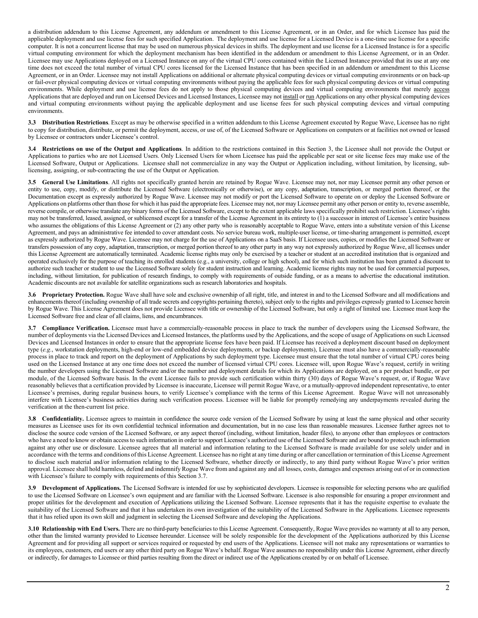a distribution addendum to this License Agreement, any addendum or amendment to this License Agreement, or in an Order, and for which Licensee has paid the applicable deployment and use license fees for such specified Application. The deployment and use license for a Licensed Device is a one-time use license for a specific computer. It is not a concurrent license that may be used on numerous physical devices in shifts. The deployment and use license for a Licensed Instance is for a specific virtual computing environment for which the deployment mechanism has been identified in the addendum or amendment to this License Agreement, or in an Order. Licensee may use Applications deployed on a Licensed Instance on any of the virtual CPU cores contained within the Licensed Instance provided that its use at any one time does not exceed the total number of virtual CPU cores licensed for the Licensed Instance that has been specified in an addendum or amendment to this License Agreement, or in an Order. Licensee may not install Applications on additional or alternate physical computing devices or virtual computing environments or on back-up or fail-over physical computing devices or virtual computing environments without paying the applicable fees for such physical computing devices or virtual computing environments. While deployment and use license fees do not apply to those physical computing devices and virtual computing environments that merely access Applications that are deployed and run on Licensed Devices and Licensed Instances, Licensee may not install or run Applications on any other physical computing devices and virtual computing environments without paying the applicable deployment and use license fees for such physical computing devices and virtual computing environments.

**3.3 Distribution Restrictions**. Except as may be otherwise specified in a written addendum to this License Agreement executed by Rogue Wave, Licensee has no right to copy for distribution, distribute, or permit the deployment, access, or use of, of the Licensed Software or Applications on computers or at facilities not owned or leased by Licensee or contractors under Licensee's control.

**3.4 Restrictions on use of the Output and Applications**. In addition to the restrictions contained in this Section 3, the Licensee shall not provide the Output or Applications to parties who are not Licensed Users. Only Licensed Users for whom Licensee has paid the applicable per seat or site license fees may make use of the Licensed Software, Output or Applications. Licensee shall not commercialize in any way the Output or Application including, without limitation, by licensing, sublicensing, assigning, or sub-contracting the use of the Output or Application.

**3.5 General Use Limitations**. All rights not specifically granted herein are retained by Rogue Wave. Licensee may not, nor may Licensee permit any other person or entity to use, copy, modify, or distribute the Licensed Software (electronically or otherwise), or any copy, adaptation, transcription, or merged portion thereof, or the Documentation except as expressly authorized by Rogue Wave. Licensee may not modify or port the Licensed Software to operate on or deploy the Licensed Software or Applications on platforms other than those for which it has paid the appropriate fees. Licensee may not, nor may Licensee permit any other person or entity to, reverse assemble, reverse compile, or otherwise translate any binary forms of the Licensed Software, except to the extent applicable laws specifically prohibit such restriction. Licensee's rights may not be transferred, leased, assigned, or sublicensed except for a transfer of the License Agreement in its entirety to (1) a successor in interest of Licensee's entire business who assumes the obligations of this License Agreement or (2) any other party who is reasonably acceptable to Rogue Wave, enters into a substitute version of this License Agreement, and pays an administrative fee intended to cover attendant costs. No service bureau work, multiple-user license, or time-sharing arrangement is permitted, except as expressly authorized by Rogue Wave. Licensee may not charge for the use of Applications on a SaaS basis. If Licensee uses, copies, or modifies the Licensed Software or transfers possession of any copy, adaptation, transcription, or merged portion thereof to any other party in any way not expressly authorized by Rogue Wave, all licenses under this License Agreement are automatically terminated. Academic license rights may only be exercised by a teacher or student at an accredited institution that is organized and operated exclusively for the purpose of teaching its enrolled students (e.g., a university, college or high school), and for which such institution has been granted a discount to authorize such teacher or student to use the Licensed Software solely for student instruction and learning. Academic license rights may not be used for commercial purposes, including, without limitation, for publication of research findings, to comply with requirements of outside funding, or as a means to advertise the educational institution. Academic discounts are not available for satellite organizations such as research laboratories and hospitals.

**3.6 Proprietary Protection.** Rogue Wave shall have sole and exclusive ownership of all right, title, and interest in and to the Licensed Software and all modifications and enhancements thereof (including ownership of all trade secrets and copyrights pertaining thereto), subject only to the rights and privileges expressly granted to Licensee herein by Rogue Wave. This License Agreement does not provide Licensee with title or ownership of the Licensed Software, but only a right of limited use. Licensee must keep the Licensed Software free and clear of all claims, liens, and encumbrances.

**3.7 Compliance Verification.** Licensee must have a commercially-reasonable process in place to track the number of developers using the Licensed Software, the number of deployments via the Licensed Devices and Licensed Instances, the platforms used by the Applications, and the scope of usage of Applications on such Licensed Devices and Licensed Instances in order to ensure that the appropriate license fees have been paid. If Licensee has received a deployment discount based on deployment type (*e.g.*, workstation deployments, high-end or low-end embedded device deployments, or backup deployments), Licensee must also have a commercially-reasonable process in place to track and report on the deployment of Applications by such deployment type. Licensee must ensure that the total number of virtual CPU cores being used on the Licensed Instance at any one time does not exceed the number of licensed virtual CPU cores. Licensee will, upon Rogue Wave's request, certify in writing the number developers using the Licensed Software and/or the number and deployment details for which its Applications are deployed, on a per product bundle, or per module, of the Licensed Software basis. In the event Licensee fails to provide such certification within thirty (30) days of Rogue Wave's request, or, if Rogue Wave reasonably believes that a certification provided by Licensee is inaccurate, Licensee will permit Rogue Wave, or a mutually-approved independent representative, to enter Licensee's premises, during regular business hours, to verify Licensee's compliance with the terms of this License Agreement. Rogue Wave will not unreasonably interfere with Licensee's business activities during such verification process. Licensee will be liable for promptly remedying any underpayments revealed during the verification at the then-current list price.

**3.8 Confidentiality.** Licensee agrees to maintain in confidence the source code version of the Licensed Software by using at least the same physical and other security measures as Licensee uses for its own confidential technical information and documentation, but in no case less than reasonable measures. Licensee further agrees not to disclose the source code version of the Licensed Software, or any aspect thereof (including, without limitation, header files), to anyone other than employees or contractors who have a need to know or obtain access to such information in order to support Licensee's authorized use of the Licensed Software and are bound to protect such information against any other use or disclosure. Licensee agrees that all material and information relating to the Licensed Software is made available for use solely under and in accordance with the terms and conditions of this License Agreement. Licensee has no right at any time during or after cancellation or termination of this License Agreement to disclose such material and/or information relating to the Licensed Software, whether directly or indirectly, to any third party without Rogue Wave's prior written approval. Licensee shall hold harmless, defend and indemnify Rogue Wave from and against any and all losses, costs, damages and expenses arising out of or in connection with Licensee's failure to comply with requirements of this Section 3.7.

**3.9 Development of Applications.** The Licensed Software is intended for use by sophisticated developers. Licensee is responsible for selecting persons who are qualified to use the Licensed Software on Licensee's own equipment and are familiar with the Licensed Software. Licensee is also responsible for ensuring a proper environment and proper utilities for the development and execution of Applications utilizing the Licensed Software. Licensee represents that it has the requisite expertise to evaluate the suitability of the Licensed Software and that it has undertaken its own investigation of the suitability of the Licensed Software in the Applications. Licensee represents that it has relied upon its own skill and judgment in selecting the Licensed Software and developing the Applications.

**3.10 Relationship with End Users.** There are no third-party beneficiaries to this License Agreement. Consequently, Rogue Wave provides no warranty at all to any person, other than the limited warranty provided to Licensee hereunder. Licensee will be solely responsible for the development of the Applications authorized by this License Agreement and for providing all support or services required or requested by end users of the Applications. Licensee will not make any representations or warranties to its employees, customers, end users or any other third party on Rogue Wave's behalf. Rogue Wave assumes no responsibility under this License Agreement, either directly or indirectly, for damages to Licensee or third parties resulting from the direct or indirect use of the Applications created by or on behalf of Licensee.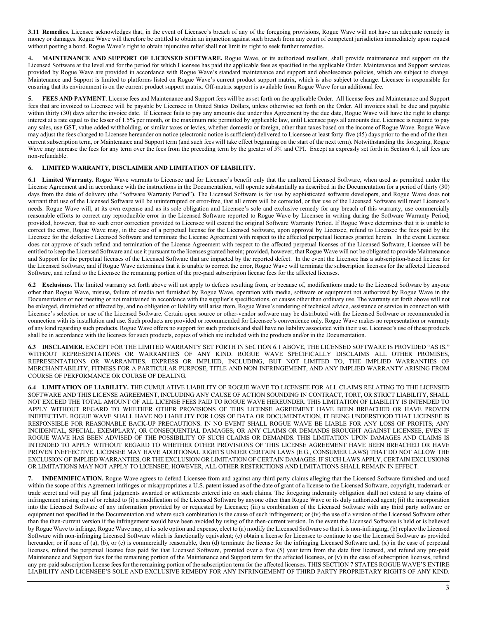**3.11 Remedies.** Licensee acknowledges that, in the event of Licensee's breach of any of the foregoing provisions, Rogue Wave will not have an adequate remedy in money or damages. Rogue Wave will therefore be entitled to obtain an injunction against such breach from any court of competent jurisdiction immediately upon request without posting a bond. Rogue Wave's right to obtain injunctive relief shall not limit its right to seek further remedies.

**4. MAINTENANCE AND SUPPORT OF LICENSED SOFTWARE.** Rogue Wave, or its authorized resellers, shall provide maintenance and support on the Licensed Software at the level and for the period for which Licensee has paid the applicable fees as specified in the applicable Order. Maintenance and Support services provided by Rogue Wave are provided in accordance with Rogue Wave's standard maintenance and support and obsolescence policies, which are subject to change. Maintenance and Support is limited to platforms listed on Rogue Wave's current product support matrix, which is also subject to change. Licensee is responsible for ensuring that its environment is on the current product support matrix. Off-matrix support is available from Rogue Wave for an additional fee.

**5. FEES AND PAYMENT**. License fees and Maintenance and Support fees will be as set forth on the applicable Order. All license fees and Maintenance and Support fees that are invoiced to Licensee will be payable by Licensee in United States Dollars, unless otherwise set forth on the Order. All invoices shall be due and payable within thirty (30) days after the invoice date. If Licensee fails to pay any amounts due under this Agreement by the due date, Rogue Wave will have the right to charge interest at a rate equal to the lesser of 1.5% per month, or the maximum rate permitted by applicable law, until Licensee pays all amounts due. Licensee is required to pay any sales, use GST, value-added withholding, or similar taxes or levies, whether domestic or foreign, other than taxes based on the income of Rogue Wave. Rogue Wave may adjust the fees charged to Licensee hereunder on notice (electronic notice is sufficient) delivered to Licensee at least forty-five (45) days prior to the end of the thencurrent subscription term, or Maintenance and Support term (and such fees will take effect beginning on the start of the next term). Notwithstanding the foregoing, Rogue Wave may increase the fees for any term over the fees from the preceding term by the greater of 5% and CPI. Except as expressly set forth in Section 6.1, all fees are non-refundable.

## **6. LIMITED WARRANTY, DISCLAIMER AND LIMITATION OF LIABILITY.**

**6.1 Limited Warranty.** Rogue Wave warrants to Licensee and for Licensee's benefit only that the unaltered Licensed Software, when used as permitted under the License Agreement and in accordance with the instructions in the Documentation, will operate substantially as described in the Documentation for a period of thirty (30) days from the date of delivery (the "Software Warranty Period"). The Licensed Software is for use by sophisticated software developers, and Rogue Wave does not warrant that use of the Licensed Software will be uninterrupted or error-free, that all errors will be corrected, or that use of the Licensed Software will meet Licensee's needs. Rogue Wave will, at its own expense and as its sole obligation and Licensee's sole and exclusive remedy for any breach of this warranty, use commercially reasonable efforts to correct any reproducible error in the Licensed Software reported to Rogue Wave by Licensee in writing during the Software Warranty Period; provided, however, that no such error correction provided to Licensee will extend the original Software Warranty Period. If Rogue Wave determines that it is unable to correct the error, Rogue Wave may, in the case of a perpetual license for the Licensed Software, upon approval by Licensee, refund to Licensee the fees paid by the Licensee for the defective Licensed Software and terminate the License Agreement with respect to the affected perpetual licenses granted herein. In the event Licensee does not approve of such refund and termination of the License Agreement with respect to the affected perpetual licenses of the Licensed Software, Licensee will be entitled to keep the Licensed Software and use it pursuant to the licenses granted herein; provided, however, that Rogue Wave will not be obligated to provide Maintenance and Support for the perpetual licenses of the Licensed Software that are impacted by the reported defect. In the event the Licensee has a subscription-based license for the Licensed Software, and if Rogue Wave determines that it is unable to correct the error, Rogue Wave will terminate the subscription licenses for the affected Licensed Software, and refund to the Licensee the remaining portion of the pre-paid subscription license fees for the affected licenses.

**6.2 Exclusions.** The limited warranty set forth above will not apply to defects resulting from, or because of, modifications made to the Licensed Software by anyone other than Rogue Wave, misuse, failure of media not furnished by Rogue Wave, operation with media, software or equipment not authorized by Rogue Wave in the Documentation or not meeting or not maintained in accordance with the supplier's specifications, or causes other than ordinary use. The warranty set forth above will not be enlarged, diminished or affected by, and no obligation or liability will arise from, Rogue Wave's rendering of technical advice, assistance or service in connection with Licensee's selection or use of the Licensed Software. Certain open source or other-vendor software may be distributed with the Licensed Software or recommended in connection with its installation and use. Such products are provided or recommended for Licensee's convenience only. Rogue Wave makes no representation or warranty of any kind regarding such products. Rogue Wave offers no support for such products and shall have no liability associated with their use. Licensee's use of these products shall be in accordance with the licenses for such products, copies of which are included with the products and/or in the Documentation.

**6.3 DISCLAIMER.** EXCEPT FOR THE LIMITED WARRANTY SET FORTH IN SECTION 6.1 ABOVE, THE LICENSED SOFTWARE IS PROVIDED "AS IS," WITHOUT REPRESENTATIONS OR WARRANTIES OF ANY KIND. ROGUE WAVE SPECIFICALLY DISCLAIMS ALL OTHER PROMISES, REPRESENTATIONS OR WARRANTIES, EXPRESS OR IMPLIED, INCLUDING, BUT NOT LIMITED TO, THE IMPLIED WARRANTIES OF MERCHANTABILITY, FITNESS FOR A PARTICULAR PURPOSE, TITLE AND NON-INFRINGEMENT, AND ANY IMPLIED WARRANTY ARISING FROM COURSE OF PERFORMANCE OR COURSE OF DEALING.

**6.4 LIMITATION OF LIABILITY.** THE CUMULATIVE LIABILITY OF ROGUE WAVE TO LICENSEE FOR ALL CLAIMS RELATING TO THE LICENSED SOFTWARE AND THIS LICENSE AGREEMENT, INCLUDING ANY CAUSE OF ACTION SOUNDING IN CONTRACT, TORT, OR STRICT LIABILITY, SHALL NOT EXCEED THE TOTAL AMOUNT OF ALL LICENSE FEES PAID TO ROGUE WAVE HEREUNDER. THIS LIMITATION OF LIABILITY IS INTENDED TO APPLY WITHOUT REGARD TO WHETHER OTHER PROVISIONS OF THIS LICENSE AGREEMENT HAVE BEEN BREACHED OR HAVE PROVEN INEFFECTIVE. ROGUE WAVE SHALL HAVE NO LIABILITY FOR LOSS OF DATA OR DOCUMENTATION, IT BEING UNDERSTOOD THAT LICENSEE IS RESPONSIBLE FOR REASONABLE BACK-UP PRECAUTIONS. IN NO EVENT SHALL ROGUE WAVE BE LIABLE FOR ANY LOSS OF PROFITS; ANY INCIDENTAL, SPECIAL, EXEMPLARY, OR CONSEQUENTIAL DAMAGES; OR ANY CLAIMS OR DEMANDS BROUGHT AGAINST LICENSEE, EVEN IF ROGUE WAVE HAS BEEN ADVISED OF THE POSSIBILITY OF SUCH CLAIMS OR DEMANDS. THIS LIMITATION UPON DAMAGES AND CLAIMS IS INTENDED TO APPLY WITHOUT REGARD TO WHETHER OTHER PROVISIONS OF THIS LICENSE AGREEMENT HAVE BEEN BREACHED OR HAVE PROVEN INEFFECTIVE. LICENSEE MAY HAVE ADDITIONAL RIGHTS UNDER CERTAIN LAWS (E.G., CONSUMER LAWS) THAT DO NOT ALLOW THE EXCLUSION OF IMPLIED WARRANTIES, OR THE EXCLUSION OR LIMITATION OF CERTAIN DAMAGES. IF SUCH LAWS APPLY, CERTAIN EXCLUSIONS OR LIMITATIONS MAY NOT APPLY TO LICENSEE; HOWEVER, ALL OTHER RESTRICTIONS AND LIMITATIONS SHALL REMAIN IN EFFECT.

**7. INDEMNIFICATION.** Rogue Wave agrees to defend Licensee from and against any third-party claims alleging that the Licensed Software furnished and used within the scope of this Agreement infringes or misappropriates a U.S. patent issued as of the date of grant of a license to the Licensed Software, copyright, trademark or trade secret and will pay all final judgments awarded or settlements entered into on such claims. The foregoing indemnity obligation shall not extend to any claims of infringement arising out of or related to (i) a modification of the Licensed Software by anyone other than Rogue Wave or its duly authorized agent; (ii) the incorporation into the Licensed Software of any information provided by or requested by Licensee; (iii) a combination of the Licensed Software with any third party software or equipment not specified in the Documentation and where such combination is the cause of such infringement; or (iv) the use of a version of the Licensed Software other than the then-current version if the infringement would have been avoided by using of the then-current version. In the event the Licensed Software is held or is believed by Rogue Wave to infringe, Rogue Wave may, at its sole option and expense, elect to (a) modify the Licensed Software so that it is non-infringing; (b) replace the Licensed Software with non-infringing Licensed Software which is functionally equivalent; (c) obtain a license for Licensee to continue to use the Licensed Software as provided hereunder; or if none of (a), (b), or (c) is commercially reasonable, then (d) terminate the license for the infringing Licensed Software and, (x) in the case of perpetual licenses, refund the perpetual license fees paid for that Licensed Software, prorated over a five (5) year term from the date first licensed, and refund any pre-paid Maintenance and Support fees for the remaining portion of the Maintenance and Support term for the affected licenses, or (y) in the case of subscription licenses, refund any pre-paid subscription license fees for the remaining portion of the subscription term for the affected licenses. THIS SECTION 7 STATES ROGUE WAVE'S ENTIRE LIABILITY AND LICENSEE'S SOLE AND EXCLUSIVE REMEDY FOR ANY INFRINGEMENT OF THIRD PARTY PROPRIETARY RIGHTS OF ANY KIND.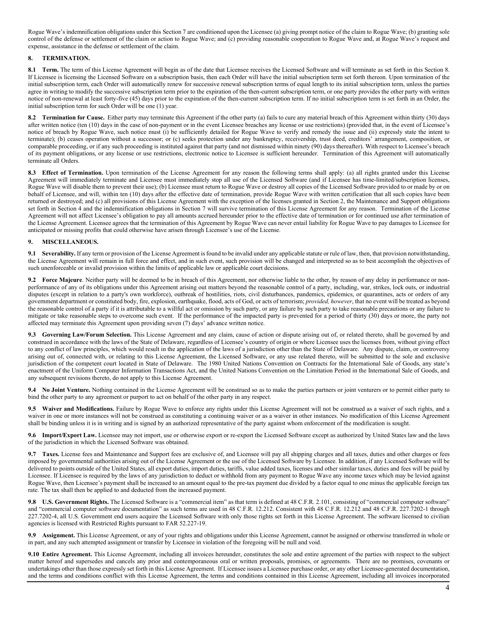Rogue Wave's indemnification obligations under this Section 7 are conditioned upon the Licensee (a) giving prompt notice of the claim to Rogue Wave; (b) granting sole control of the defense or settlement of the claim or action to Rogue Wave; and (c) providing reasonable cooperation to Rogue Wave and, at Rogue Wave's request and expense, assistance in the defense or settlement of the claim.

## **8. TERMINATION.**

**8.1 Term.** The term of this License Agreement will begin as of the date that Licensee receives the Licensed Software and will terminate as set forth in this Section 8. If Licensee is licensing the Licensed Software on a subscription basis, then each Order will have the initial subscription term set forth thereon. Upon termination of the initial subscription term, each Order will automatically renew for successive renewal subscription terms of equal length to its initial subscription term, unless the parties agree in writing to modify the successive subscription term prior to the expiration of the then-current subscription term, or one party provides the other party with written notice of non-renewal at least forty-five (45) days prior to the expiration of the then-current subscription term. If no initial subscription term is set forth in an Order, the initial subscription term for such Order will be one (1) year.

**8.2 Termination for Cause.** Either party may terminate this Agreement if the other party (a) fails to cure any material breach of this Agreement within thirty (30) days after written notice (ten (10) days in the case of non-payment or in the event Licensee breaches any license or use restrictions) (provided that, in the event of Licensee's notice of breach by Rogue Wave, such notice must (i) be sufficiently detailed for Rogue Wave to verify and remedy the issue and (ii) expressly state the intent to terminate); (b) ceases operation without a successor; or (c) seeks protection under any bankruptcy, receivership, trust deed, creditors' arrangement, composition, or comparable proceeding, or if any such proceeding is instituted against that party (and not dismissed within ninety (90) days thereafter). With respect to Licensee's breach of its payment obligations, or any license or use restrictions, electronic notice to Licensee is sufficient hereunder. Termination of this Agreement will automatically terminate all Orders.

8.3 **Effect of Termination.** Upon termination of the License Agreement for any reason the following terms shall apply: (a) all rights granted under this License Agreement will immediately terminate and Licensee must immediately stop all use of the Licensed Software (and if Licensee has time-limited/subscription licenses, Rogue Wave will disable them to prevent their use); (b) Licensee must return to Rogue Wave or destroy all copies of the Licensed Software provided to or made by or on behalf of Licensee, and will, within ten (10) days after the effective date of termination, provide Rogue Wave with written certification that all such copies have been returned or destroyed; and (c) all provisions of this License Agreement with the exception of the licenses granted in Section 2, the Maintenance and Support obligations set forth in Section 4 and the indemnification obligations in Section 7 will survive termination of this License Agreement for any reason. Termination of the License Agreement will not affect Licensee's obligation to pay all amounts accrued hereunder prior to the effective date of termination or for continued use after termination of the License Agreement. Licensee agrees that the termination of this Agreement by Rogue Wave can never entail liability for Rogue Wave to pay damages to Licensee for anticipated or missing profits that could otherwise have arisen through Licensee's use of the License.

# **9. MISCELLANEOUS.**

**9.1 Severability.** If any term or provision of the License Agreement is found to be invalid under any applicable statute or rule of law, then, that provision notwithstanding, the License Agreement will remain in full force and effect, and in such event, such provision will be changed and interpreted so as to best accomplish the objectives of such unenforceable or invalid provision within the limits of applicable law or applicable court decisions.

**9.2 Force Majeure**. Neither party will be deemed to be in breach of this Agreement, nor otherwise liable to the other, by reason of any delay in performance or nonperformance of any of its obligations under this Agreement arising out matters beyond the reasonable control of a party, including, war, strikes, lock outs, or industrial disputes (except in relation to a party's own workforce), outbreak of hostilities, riots, civil disturbances, pandemics, epidemics, or quarantines, acts or orders of any government department or constituted body, fire, explosion, earthquake, flood, acts of God, or acts of terrorism; *provided, however*, that no event will be treated as beyond the reasonable control of a party if it is attributable to a willful act or omission by such party, or any failure by such party to take reasonable precautions or any failure to mitigate or take reasonable steps to overcome such event. If the performance of the impacted party is prevented for a period of thirty (30) days or more, the party not affected may terminate this Agreement upon providing seven (7) days' advance written notice.

**9.3 Governing Law/Forum Selection.** This License Agreement and any claim, cause of action or dispute arising out of, or related thereto, shall be governed by and construed in accordance with the laws of the State of Delaware, regardless of Licensee's country of origin or where Licensee uses the licenses from, without giving effect to any conflict of law principles, which would result in the application of the laws of a jurisdiction other than the State of Delaware. Any dispute, claim, or controversy arising out of, connected with, or relating to this License Agreement, the Licensed Software, or any use related thereto, will be submitted to the sole and exclusive jurisdiction of the competent court located in State of Delaware. The 1980 United Nations Convention on Contracts for the International Sale of Goods, any state's enactment of the Uniform Computer Information Transactions Act, and the United Nations Convention on the Limitation Period in the International Sale of Goods, and any subsequent revisions thereto, do not apply to this License Agreement.

**9.4 No Joint Venture.** Nothing contained in the License Agreement will be construed so as to make the parties partners or joint venturers or to permit either party to bind the other party to any agreement or purport to act on behalf of the other party in any respect.

**9.5 Waiver and Modifications.** Failure by Rogue Wave to enforce any rights under this License Agreement will not be construed as a waiver of such rights, and a waiver in one or more instances will not be construed as constituting a continuing waiver or as a waiver in other instances. No modification of this License Agreement shall be binding unless it is in writing and is signed by an authorized representative of the party against whom enforcement of the modification is sought.

**9.6 Import/Export Law.** Licensee may not import, use or otherwise export or re-export the Licensed Software except as authorized by United States law and the laws of the jurisdiction in which the Licensed Software was obtained.

**9.7 Taxes.** License fees and Maintenance and Support fees are exclusive of, and Licensee will pay all shipping charges and all taxes, duties and other charges or fees imposed by governmental authorities arising out of the License Agreement or the use of the Licensed Software by Licensee. In addition, if any Licensed Software will be delivered to points outside of the United States, all export duties, import duties, tariffs, value added taxes, licenses and other similar taxes, duties and fees will be paid by Licensee. If Licensee is required by the laws of any jurisdiction to deduct or withhold from any payment to Rogue Wave any income taxes which may be levied against Rogue Wave, then Licensee's payment shall be increased to an amount equal to the pre-tax payment due divided by a factor equal to one minus the applicable foreign tax rate. The tax shall then be applied to and deducted from the increased payment.

**9.8 U.S. Government Rights.** The Licensed Software is a "commercial item" as that term is defined at 48 C.F.R. 2.101, consisting of "commercial computer software" and "commercial computer software documentation" as such terms are used in 48 C.F.R. 12.212. Consistent with 48 C.F.R. 12.212 and 48 C.F.R. 227.7202-1 through 227.7202-4, all U.S. Government end users acquire the Licensed Software with only those rights set forth in this License Agreement. The software licensed to civilian agencies is licensed with Restricted Rights pursuant to FAR 52.227-19.

**9.9 Assignment.** This License Agreement, or any of your rights and obligations under this License Agreement, cannot be assigned or otherwise transferred in whole or in part, and any such attempted assignment or transfer by Licensee in violation of the foregoing will be null and void.

**9.10 Entire Agreement.** This License Agreement, including all invoices hereunder, constitutes the sole and entire agreement of the parties with respect to the subject matter hereof and supersedes and cancels any prior and contemporaneous oral or written proposals, promises, or agreements. There are no promises, covenants or undertakings other than those expressly set forth in this License Agreement. If Licensee issues a Licensee purchase order, or any other Licensee-generated documentation, and the terms and conditions conflict with this License Agreement, the terms and conditions contained in this License Agreement, including all invoices incorporated